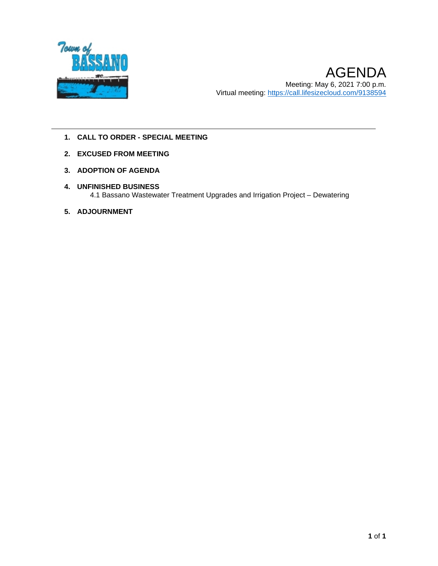

### **1. CALL TO ORDER - SPECIAL MEETING**

- **2. EXCUSED FROM MEETING**
- **3. ADOPTION OF AGENDA**
- **4. UNFINISHED BUSINESS** 4.1 Bassano Wastewater Treatment Upgrades and Irrigation Project – Dewatering
- **5. ADJOURNMENT**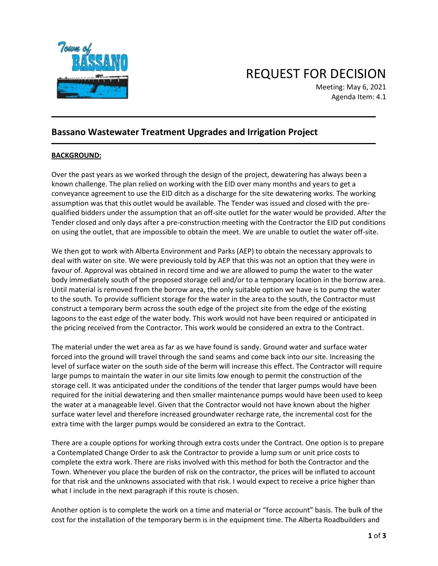

REQUEST FOR DECISION

Meeting: May 6, 2021 Agenda Item: 4.1

# **Bassano Wastewater Treatment Upgrades and Irrigation Project**

## **BACKGROUND:**

Over the past years as we worked through the design of the project, dewatering has always been a known challenge. The plan relied on working with the EID over many months and years to get a conveyance agreement to use the EID ditch as a discharge for the site dewatering works. The working assumption was that this outlet would be available. The Tender was issued and closed with the prequalified bidders under the assumption that an off-site outlet for the water would be provided. After the Tender closed and only days after a pre-construction meeting with the Contractor the EID put conditions on using the outlet, that are impossible to obtain the meet. We are unable to outlet the water off-site.

We then got to work with Alberta Environment and Parks (AEP) to obtain the necessary approvals to deal with water on site. We were previously told by AEP that this was not an option that they were in favour of. Approval was obtained in record time and we are allowed to pump the water to the water body immediately south of the proposed storage cell and/or to a temporary location in the borrow area. Until material is removed from the borrow area, the only suitable option we have is to pump the water to the south. To provide sufficient storage for the water in the area to the south, the Contractor must construct a temporary berm across the south edge of the project site from the edge of the existing lagoons to the east edge of the water body. This work would not have been required or anticipated in the pricing received from the Contractor. This work would be considered an extra to the Contract.

The material under the wet area as far as we have found is sandy. Ground water and surface water forced into the ground will travel through the sand seams and come back into our site. Increasing the level of surface water on the south side of the berm will increase this effect. The Contractor will require large pumps to maintain the water in our site limits low enough to permit the construction of the storage cell. It was anticipated under the conditions of the tender that larger pumps would have been required for the initial dewatering and then smaller maintenance pumps would have been used to keep the water at a manageable level. Given that the Contractor would not have known about the higher surface water level and therefore increased groundwater recharge rate, the incremental cost for the extra time with the larger pumps would be considered an extra to the Contract.

There are a couple options for working through extra costs under the Contract. One option is to prepare a Contemplated Change Order to ask the Contractor to provide a lump sum or unit price costs to complete the extra work. There are risks involved with this method for both the Contractor and the Town. Whenever you place the burden of risk on the contractor, the prices will be inflated to account for that risk and the unknowns associated with that risk. I would expect to receive a price higher than what I include in the next paragraph if this route is chosen.

Another option is to complete the work on a time and material or "force account" basis. The bulk of the cost for the installation of the temporary berm is in the equipment time. The Alberta Roadbuilders and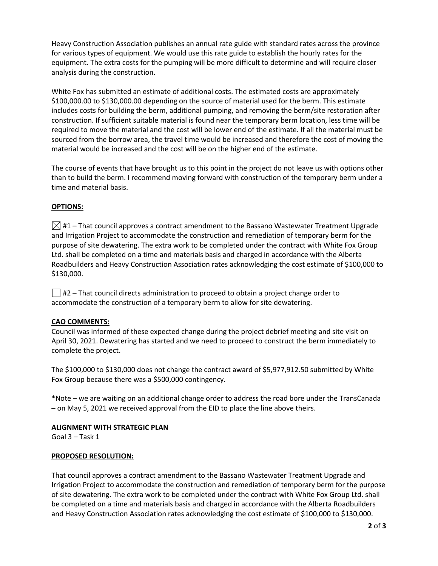Heavy Construction Association publishes an annual rate guide with standard rates across the province for various types of equipment. We would use this rate guide to establish the hourly rates for the equipment. The extra costs for the pumping will be more difficult to determine and will require closer analysis during the construction.

White Fox has submitted an estimate of additional costs. The estimated costs are approximately \$100,000.00 to \$130,000.00 depending on the source of material used for the berm. This estimate includes costs for building the berm, additional pumping, and removing the berm/site restoration after construction. If sufficient suitable material is found near the temporary berm location, less time will be required to move the material and the cost will be lower end of the estimate. If all the material must be sourced from the borrow area, the travel time would be increased and therefore the cost of moving the material would be increased and the cost will be on the higher end of the estimate.

The course of events that have brought us to this point in the project do not leave us with options other than to build the berm. I recommend moving forward with construction of the temporary berm under a time and material basis.

#### **OPTIONS:**

 $\boxtimes$  #1 – That council approves a contract amendment to the Bassano Wastewater Treatment Upgrade and Irrigation Project to accommodate the construction and remediation of temporary berm for the purpose of site dewatering. The extra work to be completed under the contract with White Fox Group Ltd. shall be completed on a time and materials basis and charged in accordance with the Alberta Roadbuilders and Heavy Construction Association rates acknowledging the cost estimate of \$100,000 to \$130,000.

 $\Box$  #2 – That council directs administration to proceed to obtain a project change order to accommodate the construction of a temporary berm to allow for site dewatering.

#### **CAO COMMENTS:**

Council was informed of these expected change during the project debrief meeting and site visit on April 30, 2021. Dewatering has started and we need to proceed to construct the berm immediately to complete the project.

The \$100,000 to \$130,000 does not change the contract award of \$5,977,912.50 submitted by White Fox Group because there was a \$500,000 contingency.

\*Note – we are waiting on an additional change order to address the road bore under the TransCanada – on May 5, 2021 we received approval from the EID to place the line above theirs.

#### **ALIGNMENT WITH STRATEGIC PLAN**

Goal 3 – Task 1

#### **PROPOSED RESOLUTION:**

That council approves a contract amendment to the Bassano Wastewater Treatment Upgrade and Irrigation Project to accommodate the construction and remediation of temporary berm for the purpose of site dewatering. The extra work to be completed under the contract with White Fox Group Ltd. shall be completed on a time and materials basis and charged in accordance with the Alberta Roadbuilders and Heavy Construction Association rates acknowledging the cost estimate of \$100,000 to \$130,000.